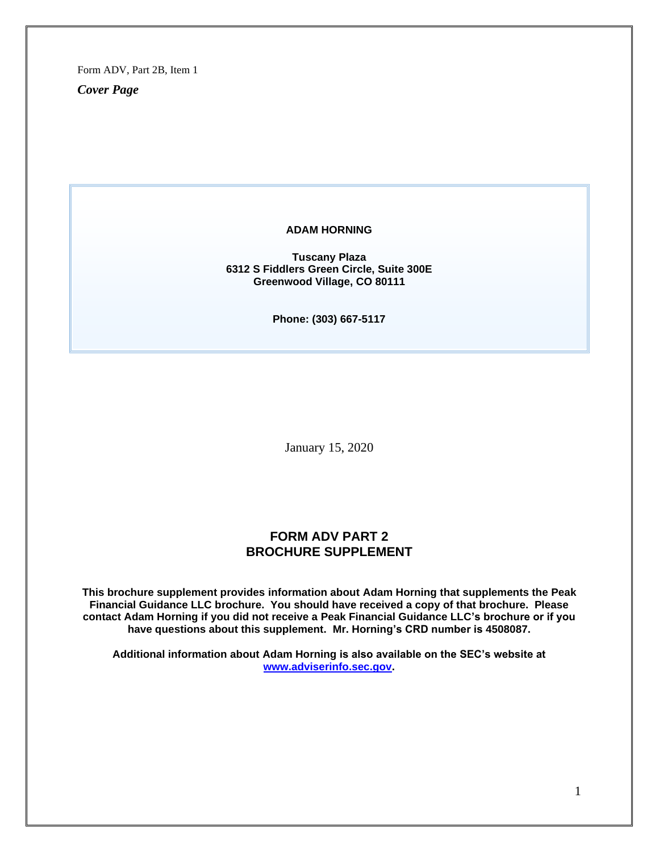Form ADV, Part 2B, Item 1

*Cover Page*

#### **ADAM HORNING**

**Tuscany Plaza 6312 S Fiddlers Green Circle, Suite 300E Greenwood Village, CO 80111**

**Phone: (303) 667-5117**

January 15, 2020

# **FORM ADV PART 2 BROCHURE SUPPLEMENT**

**This brochure supplement provides information about Adam Horning that supplements the Peak Financial Guidance LLC brochure. You should have received a copy of that brochure. Please contact Adam Horning if you did not receive a Peak Financial Guidance LLC's brochure or if you have questions about this supplement. Mr. Horning's CRD number is 4508087.**

**Additional information about Adam Horning is also available on the SEC's website at [www.adviserinfo.sec.gov.](http://www.adviserinfo.sec.gov/)**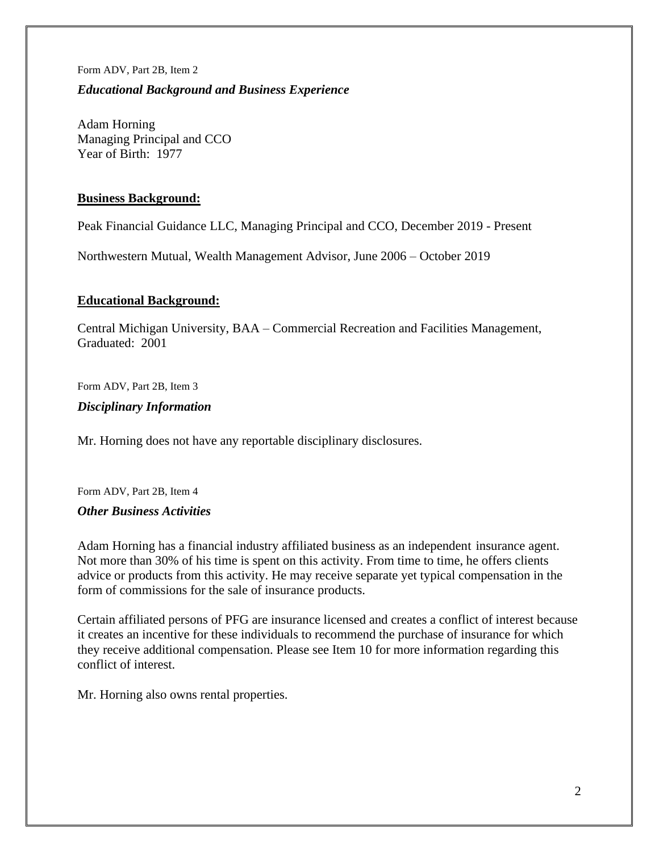#### Form ADV, Part 2B, Item 2

## *Educational Background and Business Experience*

Adam Horning Managing Principal and CCO Year of Birth: 1977

## **Business Background:**

Peak Financial Guidance LLC, Managing Principal and CCO, December 2019 - Present

Northwestern Mutual, Wealth Management Advisor, June 2006 – October 2019

## **Educational Background:**

Central Michigan University, BAA – Commercial Recreation and Facilities Management, Graduated: 2001

Form ADV, Part 2B, Item 3

## *Disciplinary Information*

Mr. Horning does not have any reportable disciplinary disclosures.

Form ADV, Part 2B, Item 4

## *Other Business Activities*

Adam Horning has a financial industry affiliated business as an independent insurance agent. Not more than 30% of his time is spent on this activity. From time to time, he offers clients advice or products from this activity. He may receive separate yet typical compensation in the form of commissions for the sale of insurance products.

Certain affiliated persons of PFG are insurance licensed and creates a conflict of interest because it creates an incentive for these individuals to recommend the purchase of insurance for which they receive additional compensation. Please see Item 10 for more information regarding this conflict of interest.

Mr. Horning also owns rental properties.